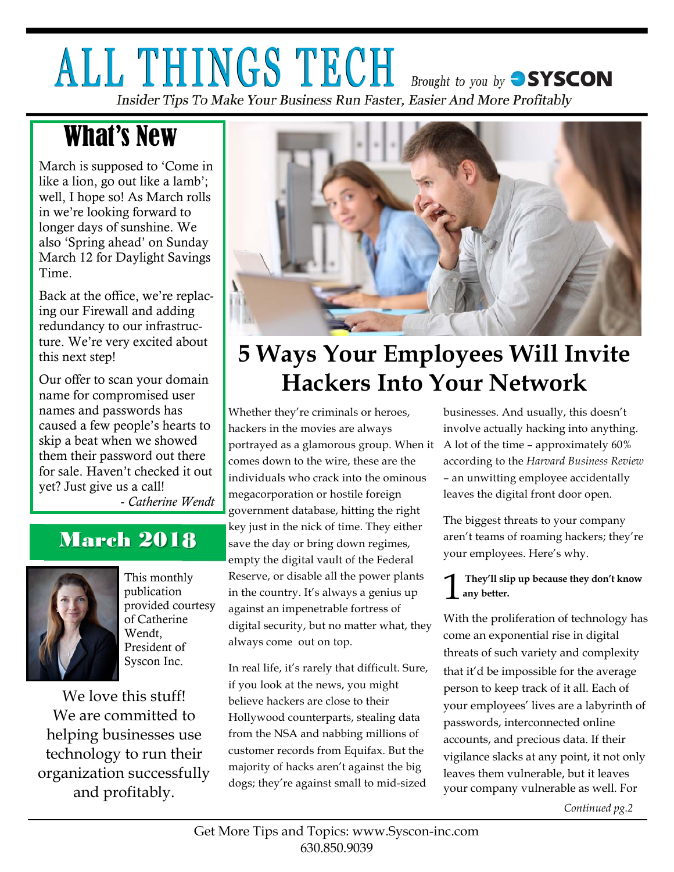## ALL THINGS TECH **Brought to you by SYSCON**

Insider Tips To Make Your Business Run Faster, Easier And More Profitably

## What's New

March is supposed to 'Come in like a lion, go out like a lamb'; well, I hope so! As March rolls in we're looking forward to longer days of sunshine. We also 'Spring ahead' on Sunday March 12 for Daylight Savings Time.

Back at the office, we're replacing our Firewall and adding redundancy to our infrastructure. We're very excited about this next step!

Our offer to scan your domain name for compromised user names and passwords has caused a few people's hearts to skip a beat when we showed them their password out there for sale. Haven't checked it out yet? Just give us a call!

- *Catherine Wendt*

### March 2018



This monthly publication provided courtesy of Catherine Wendt, President of Syscon Inc.

We love this stuff! We are committed to helping businesses use technology to run their organization successfully and profitably.



## **5 Ways Your Employees Will Invite Hackers Into Your Network**

Whether they're criminals or heroes, hackers in the movies are always portrayed as a glamorous group. When it A lot of the time – approximately 60% comes down to the wire, these are the individuals who crack into the ominous megacorporation or hostile foreign government database, hitting the right key just in the nick of time. They either save the day or bring down regimes, empty the digital vault of the Federal Reserve, or disable all the power plants in the country. It's always a genius up against an impenetrable fortress of digital security, but no matter what, they always come out on top.

In real life, it's rarely that difficult. Sure, if you look at the news, you might believe hackers are close to their Hollywood counterparts, stealing data from the NSA and nabbing millions of customer records from Equifax. But the majority of hacks aren't against the big dogs; they're against small to mid-sized

businesses. And usually, this doesn't involve actually hacking into anything. according to the *Harvard Business Review* – an unwitting employee accidentally leaves the digital front door open.

The biggest threats to your company aren't teams of roaming hackers; they're your employees. Here's why.

#### 1 **They'll slip up because they don't know any better.**

With the proliferation of technology has come an exponential rise in digital threats of such variety and complexity that it'd be impossible for the average person to keep track of it all. Each of your employees' lives are a labyrinth of passwords, interconnected online accounts, and precious data. If their vigilance slacks at any point, it not only leaves them vulnerable, but it leaves your company vulnerable as well. For

*Continued pg.2*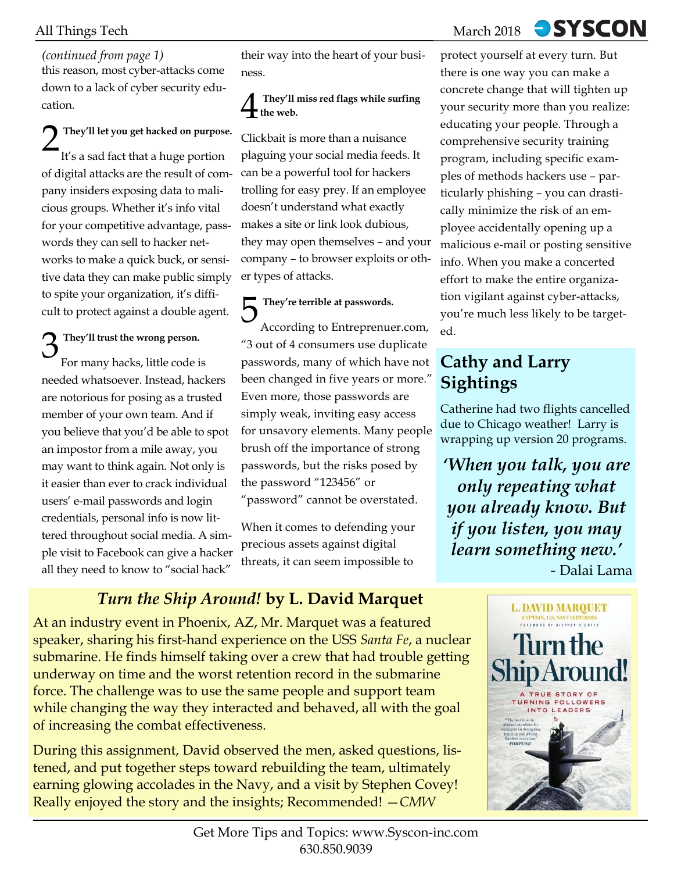### *(continued from page 1)*

this reason, most cyber-attacks come down to a lack of cyber security education.

2 **They'll let you get hacked on purpose.** It's a sad fact that a huge portion of digital attacks are the result of company insiders exposing data to malicious groups. Whether it's info vital for your competitive advantage, passwords they can sell to hacker networks to make a quick buck, or sensitive data they can make public simply to spite your organization, it's difficult to protect against a double agent.

### 3 **They'll trust the wrong person.** For many hacks, little code is

needed whatsoever. Instead, hackers are notorious for posing as a trusted member of your own team. And if you believe that you'd be able to spot an impostor from a mile away, you may want to think again. Not only is it easier than ever to crack individual users' e-mail passwords and login credentials, personal info is now littered throughout social media. A simple visit to Facebook can give a hacker all they need to know to "social hack"

their way into the heart of your business.

#### 4 **They'll miss red flags while surfing**   $\mathbf{I}_{\text{the web}}$ .

Clickbait is more than a nuisance plaguing your social media feeds. It can be a powerful tool for hackers trolling for easy prey. If an employee doesn't understand what exactly makes a site or link look dubious, they may open themselves – and your company – to browser exploits or other types of attacks.

5 **They're terrible at passwords.** According to Entreprenuer.com, "3 out of 4 consumers use duplicate passwords, many of which have not been changed in five years or more." Even more, those passwords are simply weak, inviting easy access for unsavory elements. Many people brush off the importance of strong passwords, but the risks posed by the password "123456" or "password" cannot be overstated.

When it comes to defending your precious assets against digital threats, it can seem impossible to

### *Turn the Ship Around!* **by L. David Marquet**

At an industry event in Phoenix, AZ, Mr. Marquet was a featured speaker, sharing his first-hand experience on the USS *Santa Fe*, a nuclear submarine. He finds himself taking over a crew that had trouble getting underway on time and the worst retention record in the submarine force. The challenge was to use the same people and support team while changing the way they interacted and behaved, all with the goal of increasing the combat effectiveness.

During this assignment, David observed the men, asked questions, listened, and put together steps toward rebuilding the team, ultimately earning glowing accolades in the Navy, and a visit by Stephen Covey! Really enjoyed the story and the insights; Recommended! —*CMW*

> Get More Tips and Topics: www.Syscon-inc.com 630.850.9039

## **SYSCON**

protect yourself at every turn. But there is one way you can make a concrete change that will tighten up your security more than you realize: educating your people. Through a comprehensive security training program, including specific examples of methods hackers use – particularly phishing – you can drastically minimize the risk of an employee accidentally opening up a malicious e-mail or posting sensitive info. When you make a concerted effort to make the entire organization vigilant against cyber-attacks, you're much less likely to be targeted.

### **Cathy and Larry Sightings**

Catherine had two flights cancelled due to Chicago weather! Larry is wrapping up version 20 programs.

*'When you talk, you are only repeating what you already know. But if you listen, you may learn something new.'*  - Dalai Lama

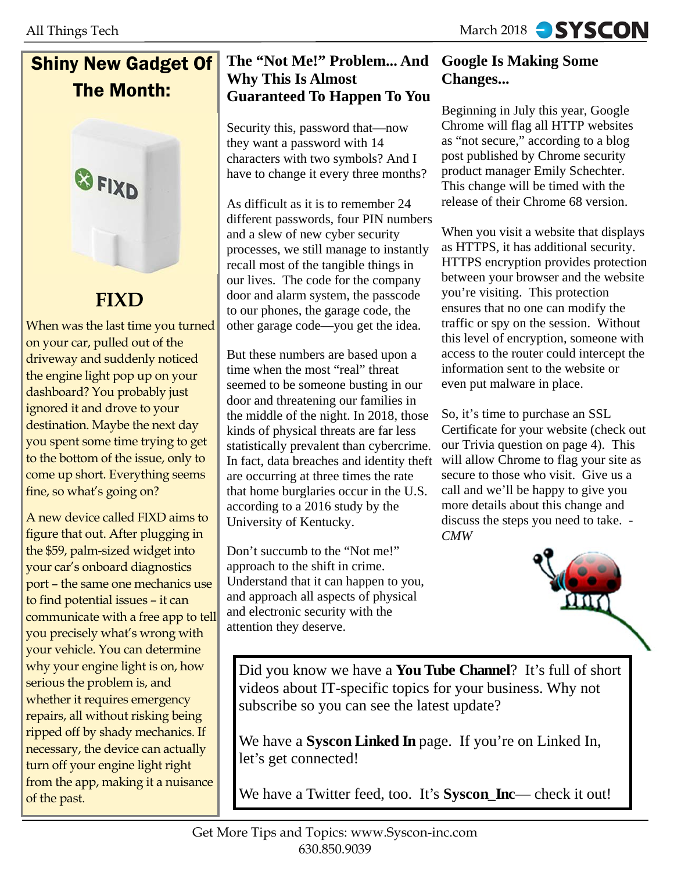### Shiny New Gadget Of The Month:



### **FIXD**

When was the last time you turned on your car, pulled out of the driveway and suddenly noticed the engine light pop up on your dashboard? You probably just ignored it and drove to your destination. Maybe the next day you spent some time trying to get to the bottom of the issue, only to come up short. Everything seems fine, so what's going on?

A new device called FIXD aims to figure that out. After plugging in the \$59, palm-sized widget into your car's onboard diagnostics port – the same one mechanics use to find potential issues – it can communicate with a free app to tell you precisely what's wrong with your vehicle. You can determine why your engine light is on, how serious the problem is, and whether it requires emergency repairs, all without risking being ripped off by shady mechanics. If necessary, the device can actually turn off your engine light right from the app, making it a nuisance of the past.

#### **The "Not Me!" Problem... And Google Is Making Some Why This Is Almost Guaranteed To Happen To You**

Security this, password that—now they want a password with 14 characters with two symbols? And I have to change it every three months?

As difficult as it is to remember 24 different passwords, four PIN numbers and a slew of new cyber security processes, we still manage to instantly recall most of the tangible things in our lives. The code for the company door and alarm system, the passcode to our phones, the garage code, the other garage code—you get the idea.

But these numbers are based upon a time when the most "real" threat seemed to be someone busting in our door and threatening our families in the middle of the night. In 2018, those kinds of physical threats are far less statistically prevalent than cybercrime. In fact, data breaches and identity theft are occurring at three times the rate that home burglaries occur in the U.S. according to a 2016 study by the University of Kentucky.

Don't succumb to the "Not me!" approach to the shift in crime. Understand that it can happen to you, and approach all aspects of physical and electronic security with the attention they deserve.

# **Changes...**

Beginning in July this year, Google Chrome will flag all HTTP websites as "not secure," according to a blog post published by Chrome security product manager Emily Schechter. This change will be timed with the release of their Chrome 68 version.

When you visit a website that displays as HTTPS, it has additional security. HTTPS encryption provides protection between your browser and the website you're visiting. This protection ensures that no one can modify the traffic or spy on the session. Without this level of encryption, someone with access to the router could intercept the information sent to the website or even put malware in place.

So, it's time to purchase an SSL Certificate for your website (check out our Trivia question on page 4). This will allow Chrome to flag your site as secure to those who visit. Give us a call and we'll be happy to give you more details about this change and discuss the steps you need to take. - *CMW*



Did you know we have a **You Tube Channel**? It's full of short videos about IT-specific topics for your business. Why not subscribe so you can see the latest update?

We have a **Syscon Linked In** page. If you're on Linked In, let's get connected!

We have a Twitter feed, too. It's **Syscon\_Inc**— check it out!